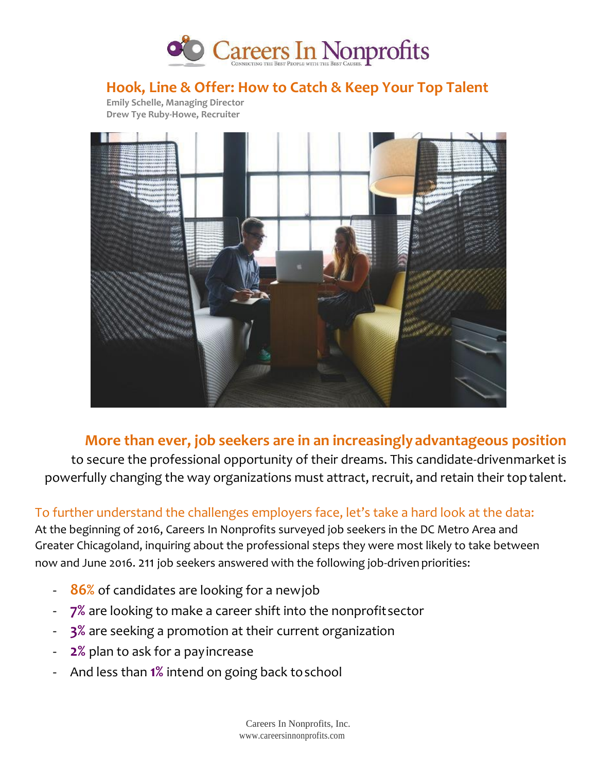

## **Hook, Line & Offer: How to Catch & Keep Your Top Talent**

 **Emily Schelle, Managing Director Drew Tye Ruby-Howe, Recruiter**



## **More than ever, job seekers are in an increasinglyadvantageous position**

to secure the professional opportunity of their dreams. This candidate-drivenmarket is powerfully changing the way organizations must attract, recruit, and retain their toptalent.

### To further understand the challenges employers face, let's take a hard look at the data:

At the beginning of 2016, Careers In Nonprofits surveyed job seekers in the DC Metro Area and Greater Chicagoland, inquiring about the professional steps they were most likely to take between now and June 2016. 211 job seekers answered with the following job-driven priorities:

- **86%** of candidates are looking for a newjob
- **7%** are looking to make a career shift into the nonprofitsector
- **3%** are seeking a promotion at their current organization
- 2% plan to ask for a pay increase
- And less than **1%** intend on going back toschool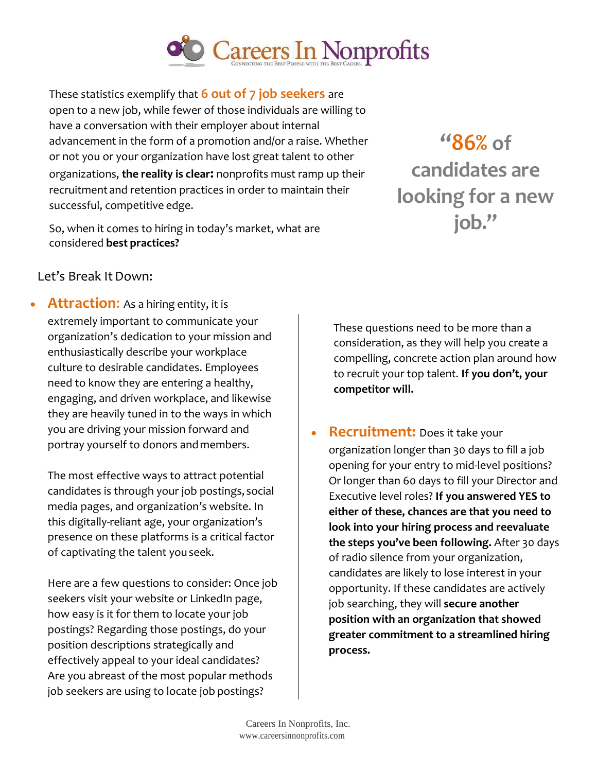

These statistics exemplify that **6 out of 7 job seekers** are open to a new job, while fewer of those individuals are willing to have a conversation with their employer about internal advancement in the form of a promotion and/or a raise. Whether or not you or your organization have lost great talent to other organizations, **the reality is clear:** nonprofits must ramp up their recruitment and retention practices in order to maintain their successful, competitive edge.

So, when it comes to hiring in today's market, what are considered **best practices?**

**"86% of candidates are looking for a new job."**

Let's Break It Down:

 **Attraction**: As a hiring entity, it is extremely important to communicate your organization's dedication to your mission and enthusiastically describe your workplace culture to desirable candidates. Employees need to know they are entering a healthy, engaging, and driven workplace, and likewise they are heavily tuned in to the ways in which you are driving your mission forward and portray yourself to donors andmembers.

The most effective ways to attract potential candidates is through your job postings, social media pages, and organization's website. In this digitally-reliant age, your organization's presence on these platforms is a critical factor of captivating the talent youseek.

Here are a few questions to consider: Once job seekers visit your website or LinkedIn page, how easy is it for them to locate your job postings? Regarding those postings, do your position descriptions strategically and effectively appeal to your ideal candidates? Are you abreast of the most popular methods job seekers are using to locate job postings?

These questions need to be more than a consideration, as they will help you create a compelling, concrete action plan around how to recruit your top talent. **If you don't, your competitor will.**

**Recruitment:** Does it take your organization longer than 30 days to fill a job opening for your entry to mid-level positions? Or longer than 60 days to fill your Director and Executive level roles? **If you answered YES to either of these, chances are that you need to look into your hiring process and reevaluate the steps you've been following.** After 30 days of radio silence from your organization, candidates are likely to lose interest in your opportunity. If these candidates are actively job searching, they will **secure another position with an organization that showed greater commitment to a streamlined hiring process.**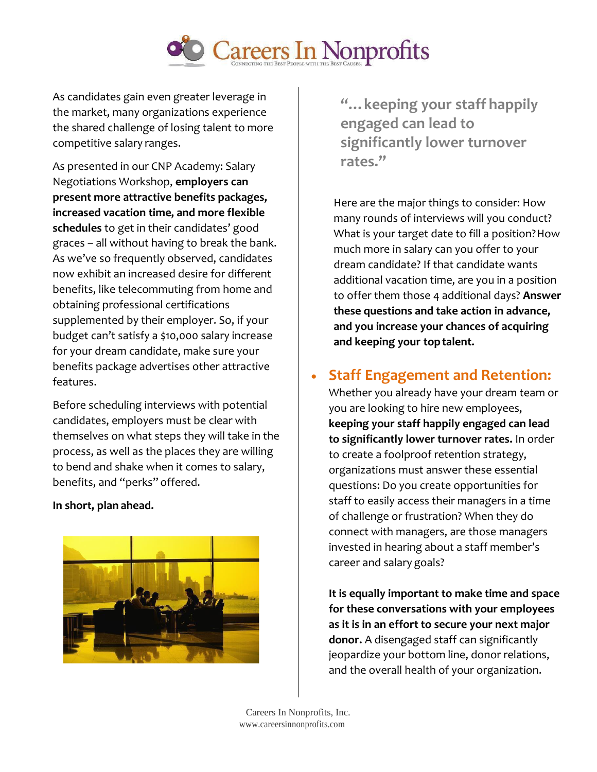

As candidates gain even greater leverage in the market, many organizations experience the shared challenge of losing talent to more competitive salary ranges.

As presented in our CNP Academy: Salary Negotiations Workshop, **employers can present more attractive benefits packages, increased vacation time, and more flexible schedules** to get in their candidates' good graces – all without having to break the bank. As we've so frequently observed, candidates now exhibit an increased desire for different benefits, like telecommuting from home and obtaining professional certifications supplemented by their employer. So, if your budget can't satisfy a \$10,000 salary increase for your dream candidate, make sure your benefits package advertises other attractive features.

Before scheduling interviews with potential candidates, employers must be clear with themselves on what steps they will take in the process, as well as the places they are willing to bend and shake when it comes to salary, benefits, and "perks" offered.

#### **In short, plan ahead.**



**"…keeping your staff happily engaged can lead to significantly lower turnover rates."**

Here are the major things to consider: How many rounds of interviews will you conduct? What is your target date to fill a position? How much more in salary can you offer to your dream candidate? If that candidate wants additional vacation time, are you in a position to offer them those 4 additional days? **Answer these questions and take action in advance, and you increase your chances of acquiring and keeping your toptalent.**

## **Staff Engagement and Retention:**

Whether you already have your dream team or you are looking to hire new employees, **keeping your staff happily engaged can lead to significantly lower turnover rates.** In order to create a foolproof retention strategy, organizations must answer these essential questions: Do you create opportunities for staff to easily access their managers in a time of challenge or frustration? When they do connect with managers, are those managers invested in hearing about a staff member's career and salary goals?

**It is equally important to make time and space for these conversations with your employees as it is in an effort to secure your next major donor.** A disengaged staff can significantly jeopardize your bottom line, donor relations, and the overall health of your organization.